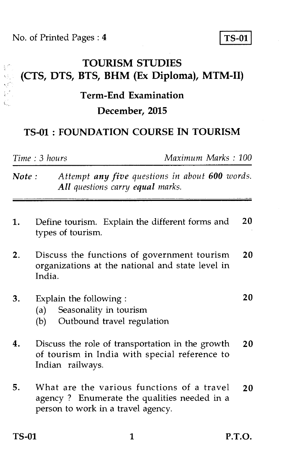No. of Printed Pages : **4** TS-01

经价 Q.

ţ.

**TOURISM STUDIES (CTS, DTS, BTS, BHM (Ex Diploma), MTM-II)** 

## **Term-End Examination December, 2015**

## **TS-01 : FOUNDATION COURSE IN TOURISM**

*Time : 3 hours Maximum Marks : 100* 

| Note: | Attempt any five questions in about 600 words.<br>All questions carry equal marks.                                                    |
|-------|---------------------------------------------------------------------------------------------------------------------------------------|
| 1.    | 20<br>Define tourism. Explain the different forms and<br>types of tourism.                                                            |
| 2.    | 20<br>Discuss the functions of government tourism<br>organizations at the national and state level in<br>India.                       |
| 3.    | 20<br>Explain the following:<br>Seasonality in tourism<br>(a)<br>Outbound travel regulation<br>(b)                                    |
| 4.    | Discuss the role of transportation in the growth<br>20<br>of tourism in India with special reference to<br>Indian railways.           |
| 5.    | What are the various functions of a travel<br>20<br>agency? Enumerate the qualities needed in a<br>person to work in a travel agency. |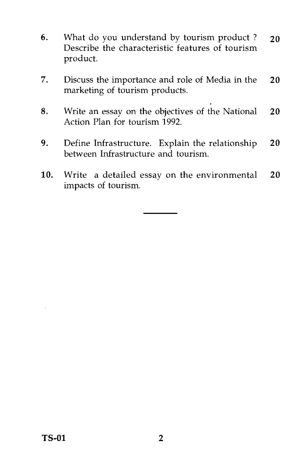- 6. What do you understand by tourism product ? **20**  Describe the characteristic features of tourism product.
- 7. Discuss the importance and role of Media in the **20**  marketing of tourism products.
- 8. Write an essay on the objectives of the National **20**  Action Plan for tourism 1992.
- 9. Define Infrastructure. Explain the relationship **20**  between Infrastructure and tourism.
- 10. Write a detailed essay on the environmental **20**  impacts of tourism.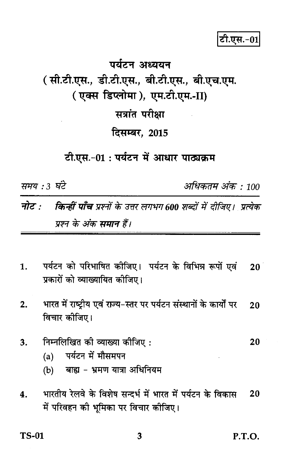## पर्यटन अध्ययन ( सी.टी.एस., डी.टी.एस., बी.टी.एस., बी.एच.एम. (एक्स डिप्लोमा), एम.टी.एम.-II) सत्रांत परीक्षा दिसम्बर. 2015 टी.एस.-01: पर्यटन में आधार पाठ्यक्रम

समय : 3 घंटे

अधिकतम अंक : 100

किन्हीं पाँच प्रश्नों के उत्तर लगभग 600 शब्दों में दीजिए। प्रत्येक नोट  $\cdot$ प्रश्न के अंक समान हैं।

- पर्यटन को परिभाषित कीजिए। पर्यटन के विभिन्न रूपों एवं  $\mathbf{1}$ .  $20<sub>1</sub>$ प्रकारों को व्याख्यायित कीजिए।
- भारत में राष्ट्रीय एवं राज्य-स्तर पर पर्यटन संस्थानों के कार्यों पर  $2.$ 20 विचार कीजिए।
- निम्नलिखित को व्याख्या कीजिए: 3. 20
	- (a) पर्यटन में मौसमपन
	- बाह्य भ्रमण यात्रा अधिनियम  $(b)$
- भारतीय रेलवे के विशेष सन्दर्भ में भारत में पर्यटन के विकास  $\overline{\mathbf{A}}$ 20 में परिवहन की भूमिका पर विचार कोजिए।

**TS-01**